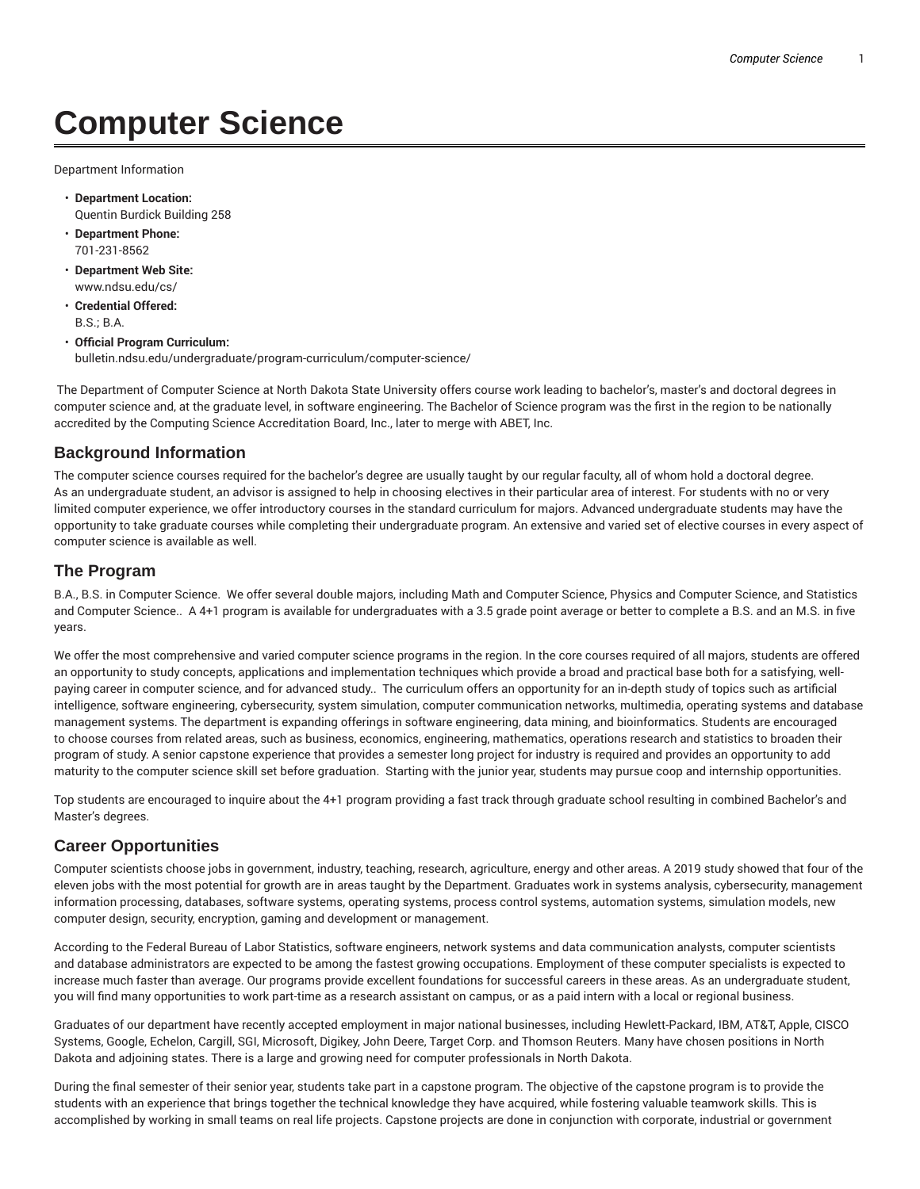# **Computer Science**

Department Information

- **Department Location:** Quentin Burdick Building 258
- **Department Phone:** 701-231-8562
- **Department Web Site:** www.ndsu.edu/cs/
- **Credential Offered:** B.S.; B.A.
- **Official Program Curriculum:** bulletin.ndsu.edu/undergraduate/program-curriculum/computer-science/

The Department of Computer Science at North Dakota State University offers course work leading to bachelor's, master's and doctoral degrees in computer science and, at the graduate level, in software engineering. The Bachelor of Science program was the first in the region to be nationally accredited by the Computing Science Accreditation Board, Inc., later to merge with ABET, Inc.

# **Background Information**

The computer science courses required for the bachelor's degree are usually taught by our regular faculty, all of whom hold a doctoral degree. As an undergraduate student, an advisor is assigned to help in choosing electives in their particular area of interest. For students with no or very limited computer experience, we offer introductory courses in the standard curriculum for majors. Advanced undergraduate students may have the opportunity to take graduate courses while completing their undergraduate program. An extensive and varied set of elective courses in every aspect of computer science is available as well.

### **The Program**

B.A., B.S. in Computer Science. We offer several double majors, including Math and Computer Science, Physics and Computer Science, and Statistics and Computer Science.. A 4+1 program is available for undergraduates with a 3.5 grade point average or better to complete a B.S. and an M.S. in five years.

We offer the most comprehensive and varied computer science programs in the region. In the core courses required of all majors, students are offered an opportunity to study concepts, applications and implementation techniques which provide a broad and practical base both for a satisfying, wellpaying career in computer science, and for advanced study.. The curriculum offers an opportunity for an in-depth study of topics such as artificial intelligence, software engineering, cybersecurity, system simulation, computer communication networks, multimedia, operating systems and database management systems. The department is expanding offerings in software engineering, data mining, and bioinformatics. Students are encouraged to choose courses from related areas, such as business, economics, engineering, mathematics, operations research and statistics to broaden their program of study. A senior capstone experience that provides a semester long project for industry is required and provides an opportunity to add maturity to the computer science skill set before graduation. Starting with the junior year, students may pursue coop and internship opportunities.

Top students are encouraged to inquire about the 4+1 program providing a fast track through graduate school resulting in combined Bachelor's and Master's degrees.

# **Career Opportunities**

Computer scientists choose jobs in government, industry, teaching, research, agriculture, energy and other areas. A 2019 study showed that four of the eleven jobs with the most potential for growth are in areas taught by the Department. Graduates work in systems analysis, cybersecurity, management information processing, databases, software systems, operating systems, process control systems, automation systems, simulation models, new computer design, security, encryption, gaming and development or management.

According to the Federal Bureau of Labor Statistics, software engineers, network systems and data communication analysts, computer scientists and database administrators are expected to be among the fastest growing occupations. Employment of these computer specialists is expected to increase much faster than average. Our programs provide excellent foundations for successful careers in these areas. As an undergraduate student, you will find many opportunities to work part-time as a research assistant on campus, or as a paid intern with a local or regional business.

Graduates of our department have recently accepted employment in major national businesses, including Hewlett-Packard, IBM, AT&T, Apple, CISCO Systems, Google, Echelon, Cargill, SGI, Microsoft, Digikey, John Deere, Target Corp. and Thomson Reuters. Many have chosen positions in North Dakota and adjoining states. There is a large and growing need for computer professionals in North Dakota.

During the final semester of their senior year, students take part in a capstone program. The objective of the capstone program is to provide the students with an experience that brings together the technical knowledge they have acquired, while fostering valuable teamwork skills. This is accomplished by working in small teams on real life projects. Capstone projects are done in conjunction with corporate, industrial or government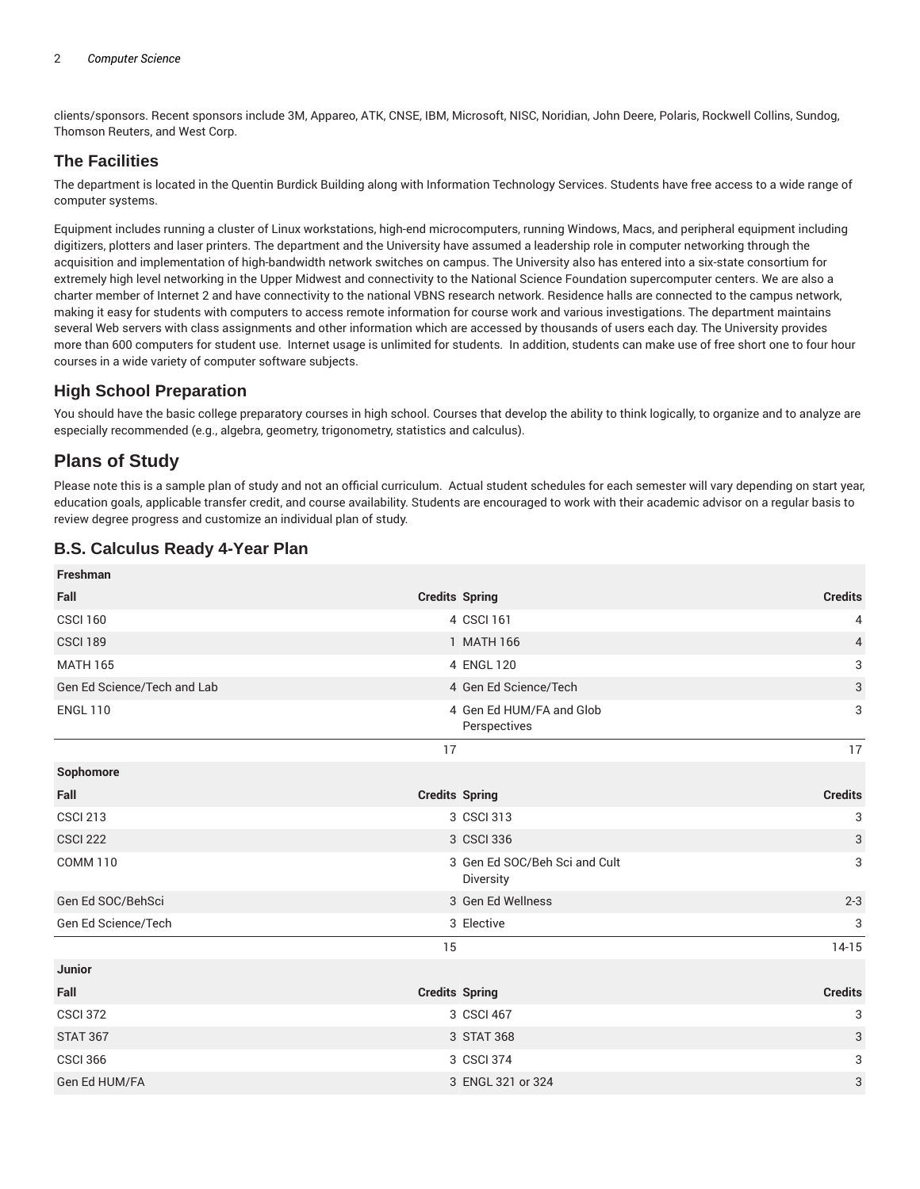clients/sponsors. Recent sponsors include 3M, Appareo, ATK, CNSE, IBM, Microsoft, NISC, Noridian, John Deere, Polaris, Rockwell Collins, Sundog, Thomson Reuters, and West Corp.

# **The Facilities**

The department is located in the Quentin Burdick Building along with Information Technology Services. Students have free access to a wide range of computer systems.

Equipment includes running a cluster of Linux workstations, high-end microcomputers, running Windows, Macs, and peripheral equipment including digitizers, plotters and laser printers. The department and the University have assumed a leadership role in computer networking through the acquisition and implementation of high-bandwidth network switches on campus. The University also has entered into a six-state consortium for extremely high level networking in the Upper Midwest and connectivity to the National Science Foundation supercomputer centers. We are also a charter member of Internet 2 and have connectivity to the national VBNS research network. Residence halls are connected to the campus network, making it easy for students with computers to access remote information for course work and various investigations. The department maintains several Web servers with class assignments and other information which are accessed by thousands of users each day. The University provides more than 600 computers for student use. Internet usage is unlimited for students. In addition, students can make use of free short one to four hour courses in a wide variety of computer software subjects.

# **High School Preparation**

You should have the basic college preparatory courses in high school. Courses that develop the ability to think logically, to organize and to analyze are especially recommended (e.g., algebra, geometry, trigonometry, statistics and calculus).

# **Plans of Study**

Please note this is a sample plan of study and not an official curriculum. Actual student schedules for each semester will vary depending on start year, education goals, applicable transfer credit, and course availability. Students are encouraged to work with their academic advisor on a regular basis to review degree progress and customize an individual plan of study.

# **B.S. Calculus Ready 4-Year Plan**

| Freshman                    |                                            |                           |
|-----------------------------|--------------------------------------------|---------------------------|
| Fall                        | <b>Credits Spring</b>                      | <b>Credits</b>            |
| <b>CSCI 160</b>             | 4 CSCI 161                                 | 4                         |
| <b>CSCI 189</b>             | 1 MATH 166                                 | $\overline{4}$            |
| <b>MATH 165</b>             | 4 ENGL 120                                 | 3                         |
| Gen Ed Science/Tech and Lab | 4 Gen Ed Science/Tech                      | $\ensuremath{\mathsf{3}}$ |
| <b>ENGL 110</b>             | 4 Gen Ed HUM/FA and Glob<br>Perspectives   | 3                         |
|                             | 17                                         | 17                        |
| Sophomore                   |                                            |                           |
| Fall                        | <b>Credits Spring</b>                      | <b>Credits</b>            |
| <b>CSCI 213</b>             | 3 CSCI 313                                 | 3                         |
| <b>CSCI 222</b>             | 3 CSCI 336                                 | 3                         |
| <b>COMM 110</b>             | 3 Gen Ed SOC/Beh Sci and Cult<br>Diversity | 3                         |
| Gen Ed SOC/BehSci           | 3 Gen Ed Wellness                          | $2 - 3$                   |
| Gen Ed Science/Tech         | 3 Elective                                 | 3                         |
|                             | 15                                         | $14-15$                   |
| Junior                      |                                            |                           |
| Fall                        | <b>Credits Spring</b>                      | <b>Credits</b>            |
| <b>CSCI 372</b>             | 3 CSCI 467                                 | 3                         |
| <b>STAT 367</b>             | 3 STAT 368                                 | 3                         |
| <b>CSCI 366</b>             | 3 CSCI 374                                 | 3                         |
| Gen Ed HUM/FA               | 3 ENGL 321 or 324                          | 3                         |
|                             |                                            |                           |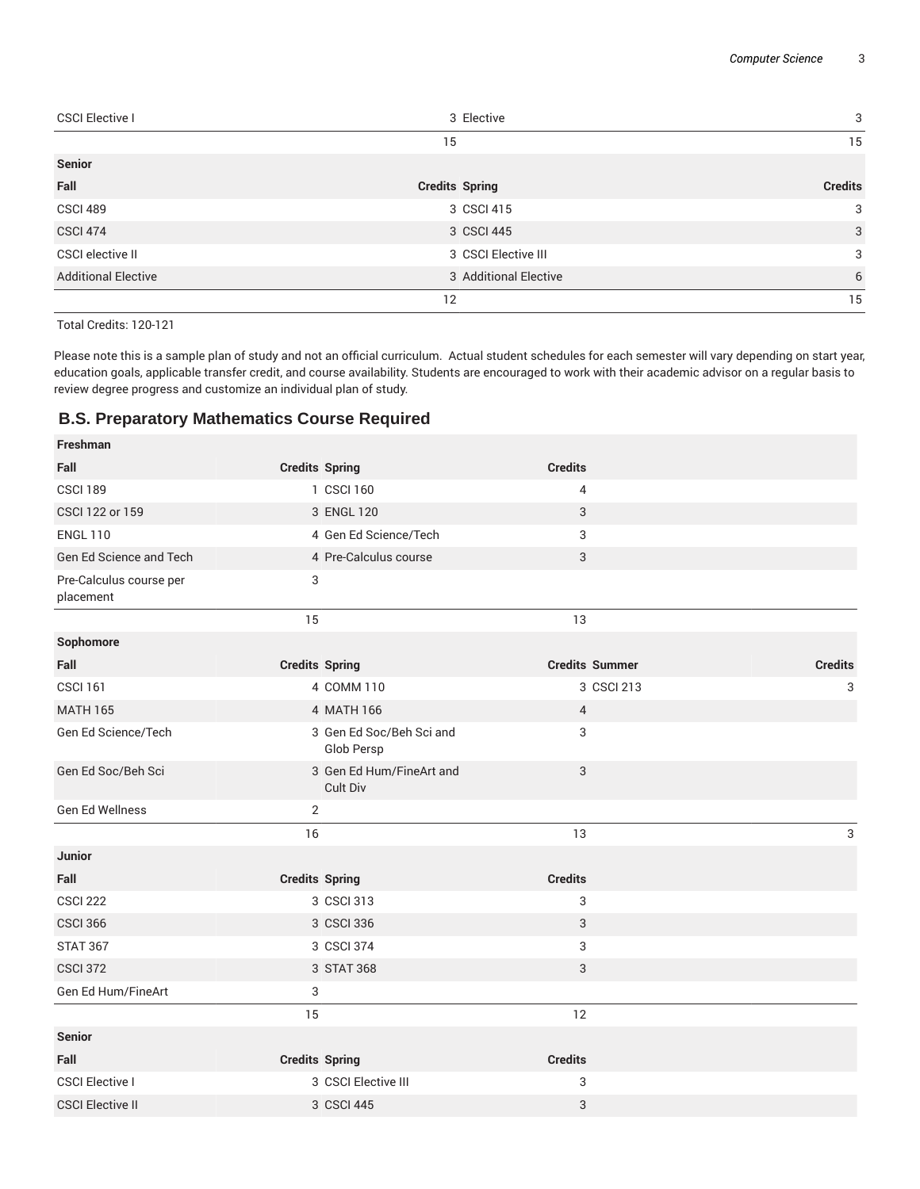| <b>CSCI Elective I</b>     | 3 Elective            | 3              |
|----------------------------|-----------------------|----------------|
|                            | 15                    | 15             |
| <b>Senior</b>              |                       |                |
| Fall                       | <b>Credits Spring</b> | <b>Credits</b> |
| CSCI 489                   | 3 CSCI 415            | 3              |
| <b>CSCI 474</b>            | 3 CSCI 445            | $\mathbf{3}$   |
| <b>CSCI elective II</b>    | 3 CSCI Elective III   | 3              |
| <b>Additional Elective</b> | 3 Additional Elective | 6              |
|                            | 12                    | 15             |

Total Credits: 120-121

Please note this is a sample plan of study and not an official curriculum. Actual student schedules for each semester will vary depending on start year, education goals, applicable transfer credit, and course availability. Students are encouraged to work with their academic advisor on a regular basis to review degree progress and customize an individual plan of study.

#### **B.S. Preparatory Mathematics Course Required**

| <b>Freshman</b>                      |                                        |                       |                |
|--------------------------------------|----------------------------------------|-----------------------|----------------|
| Fall                                 | <b>Credits Spring</b>                  | <b>Credits</b>        |                |
| <b>CSCI 189</b>                      | 1 CSCI 160                             | 4                     |                |
| CSCI 122 or 159                      | 3 ENGL 120                             | 3                     |                |
| <b>ENGL 110</b>                      | 4 Gen Ed Science/Tech                  | 3                     |                |
| Gen Ed Science and Tech              | 4 Pre-Calculus course                  | 3                     |                |
| Pre-Calculus course per<br>placement | 3                                      |                       |                |
|                                      | 15                                     | 13                    |                |
| Sophomore                            |                                        |                       |                |
| Fall                                 | <b>Credits Spring</b>                  | <b>Credits Summer</b> | <b>Credits</b> |
| <b>CSCI 161</b>                      | 4 COMM 110                             | 3 CSCI 213            | 3              |
| <b>MATH 165</b>                      | 4 MATH 166                             | 4                     |                |
| Gen Ed Science/Tech                  | 3 Gen Ed Soc/Beh Sci and<br>Glob Persp | 3                     |                |
| Gen Ed Soc/Beh Sci                   | 3 Gen Ed Hum/FineArt and<br>Cult Div   | 3                     |                |
| Gen Ed Wellness                      | $\overline{2}$                         |                       |                |
|                                      | 16                                     | 13                    | 3              |
| Junior                               |                                        |                       |                |
| Fall                                 | <b>Credits Spring</b>                  | <b>Credits</b>        |                |
| <b>CSCI 222</b>                      | 3 CSCI 313                             | 3                     |                |
| <b>CSCI 366</b>                      | 3 CSCI 336                             | 3                     |                |
| <b>STAT 367</b>                      | 3 CSCI 374                             | 3                     |                |
| <b>CSCI 372</b>                      | 3 STAT 368                             | 3                     |                |
| Gen Ed Hum/FineArt                   | 3                                      |                       |                |
|                                      | 15                                     | 12                    |                |
| <b>Senior</b>                        |                                        |                       |                |
| Fall                                 | <b>Credits Spring</b>                  | <b>Credits</b>        |                |
| <b>CSCI Elective I</b>               | 3 CSCI Elective III                    | 3                     |                |
| <b>CSCI Elective II</b>              | 3 CSCI 445                             | 3                     |                |